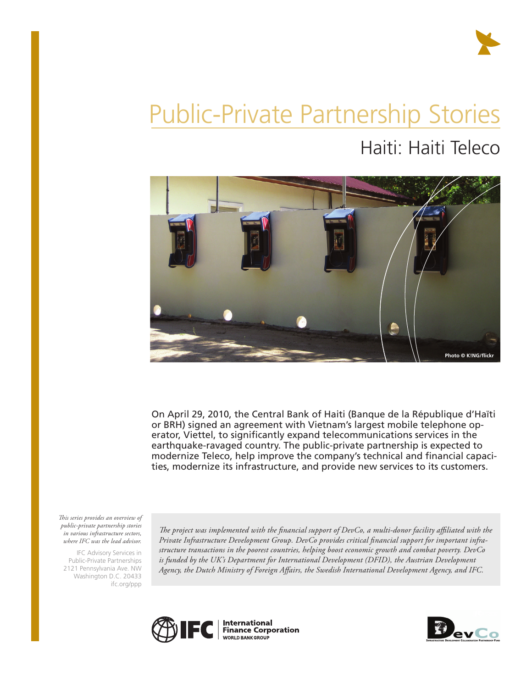

# Public-Private Partnership Stories

Haiti: Haiti Teleco



On April 29, 2010, the Central Bank of Haiti (Banque de la République d'Haïti or BRH) signed an agreement with Vietnam's largest mobile telephone operator, Viettel, to significantly expand telecommunications services in the earthquake-ravaged country. The public-private partnership is expected to modernize Teleco, help improve the company's technical and financial capacities, modernize its infrastructure, and provide new services to its customers.

*This series provides an overview of public-private partnership stories in various infrastructure sectors, where IFC was the lead advisor.* 

IFC Advisory Services in Public-Private Partnerships 2121 Pennsylvania Ave. NW Washington D.C. 20433 ifc.org/ppp

*The project was implemented with the financial support of DevCo, a multi-donor facility affiliated with the Private Infrastructure Development Group. DevCo provides critical financial support for important infrastructure transactions in the poorest countries, helping boost economic growth and combat poverty. DevCo*  is funded by the UK's Department for International Development (DFID), the Austrian Development *Agency, the Dutch Ministry of Foreign Affairs, the Swedish International Development Agency, and IFC.*